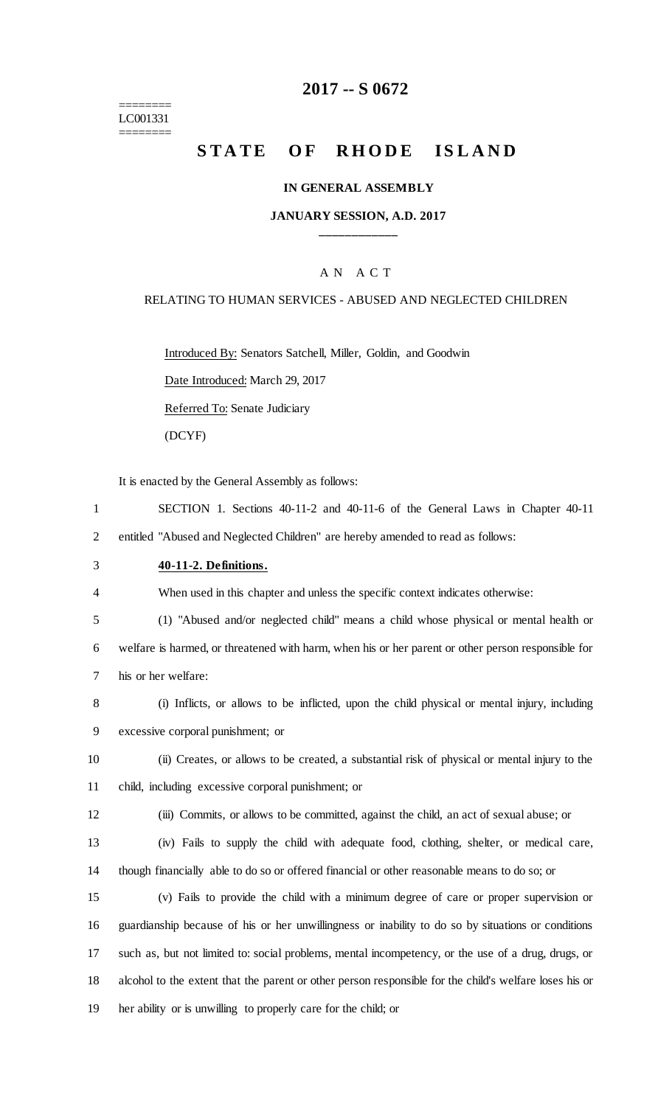#### ======== LC001331 ========

## **2017 -- S 0672**

## **STATE OF RHODE ISLAND**

#### **IN GENERAL ASSEMBLY**

#### **JANUARY SESSION, A.D. 2017 \_\_\_\_\_\_\_\_\_\_\_\_**

#### A N A C T

#### RELATING TO HUMAN SERVICES - ABUSED AND NEGLECTED CHILDREN

Introduced By: Senators Satchell, Miller, Goldin, and Goodwin

Date Introduced: March 29, 2017

Referred To: Senate Judiciary

(DCYF)

It is enacted by the General Assembly as follows:

- 1 SECTION 1. Sections 40-11-2 and 40-11-6 of the General Laws in Chapter 40-11 2 entitled "Abused and Neglected Children" are hereby amended to read as follows:
- 3 **40-11-2. Definitions.**

4 When used in this chapter and unless the specific context indicates otherwise:

5 (1) "Abused and/or neglected child" means a child whose physical or mental health or

6 welfare is harmed, or threatened with harm, when his or her parent or other person responsible for 7 his or her welfare:

- 8 (i) Inflicts, or allows to be inflicted, upon the child physical or mental injury, including 9 excessive corporal punishment; or
- 10 (ii) Creates, or allows to be created, a substantial risk of physical or mental injury to the 11 child, including excessive corporal punishment; or
- 12 (iii) Commits, or allows to be committed, against the child, an act of sexual abuse; or
- 13 (iv) Fails to supply the child with adequate food, clothing, shelter, or medical care, 14 though financially able to do so or offered financial or other reasonable means to do so; or
- 15 (v) Fails to provide the child with a minimum degree of care or proper supervision or 16 guardianship because of his or her unwillingness or inability to do so by situations or conditions 17 such as, but not limited to: social problems, mental incompetency, or the use of a drug, drugs, or 18 alcohol to the extent that the parent or other person responsible for the child's welfare loses his or 19 her ability or is unwilling to properly care for the child; or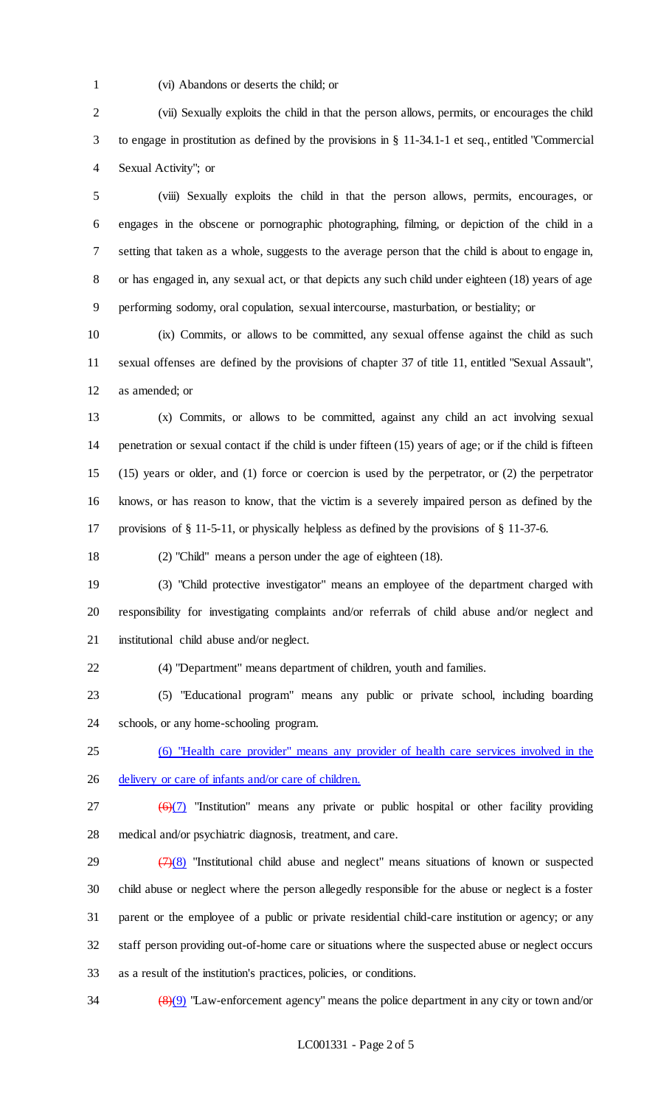(vi) Abandons or deserts the child; or

 (vii) Sexually exploits the child in that the person allows, permits, or encourages the child to engage in prostitution as defined by the provisions in § 11-34.1-1 et seq., entitled "Commercial Sexual Activity"; or

 (viii) Sexually exploits the child in that the person allows, permits, encourages, or engages in the obscene or pornographic photographing, filming, or depiction of the child in a setting that taken as a whole, suggests to the average person that the child is about to engage in, or has engaged in, any sexual act, or that depicts any such child under eighteen (18) years of age performing sodomy, oral copulation, sexual intercourse, masturbation, or bestiality; or

 (ix) Commits, or allows to be committed, any sexual offense against the child as such sexual offenses are defined by the provisions of chapter 37 of title 11, entitled "Sexual Assault", as amended; or

 (x) Commits, or allows to be committed, against any child an act involving sexual penetration or sexual contact if the child is under fifteen (15) years of age; or if the child is fifteen (15) years or older, and (1) force or coercion is used by the perpetrator, or (2) the perpetrator knows, or has reason to know, that the victim is a severely impaired person as defined by the provisions of § 11-5-11, or physically helpless as defined by the provisions of § 11-37-6.

(2) "Child" means a person under the age of eighteen (18).

 (3) "Child protective investigator" means an employee of the department charged with responsibility for investigating complaints and/or referrals of child abuse and/or neglect and institutional child abuse and/or neglect.

(4) "Department" means department of children, youth and families.

 (5) "Educational program" means any public or private school, including boarding schools, or any home-schooling program.

 (6) "Health care provider" means any provider of health care services involved in the delivery or care of infants and/or care of children.

27  $(6)(7)$  "Institution" means any private or public hospital or other facility providing medical and/or psychiatric diagnosis, treatment, and care.

 $\left(\frac{7}{8}\right)$  "Institutional child abuse and neglect" means situations of known or suspected child abuse or neglect where the person allegedly responsible for the abuse or neglect is a foster parent or the employee of a public or private residential child-care institution or agency; or any staff person providing out-of-home care or situations where the suspected abuse or neglect occurs as a result of the institution's practices, policies, or conditions.

(8)(9) "Law-enforcement agency" means the police department in any city or town and/or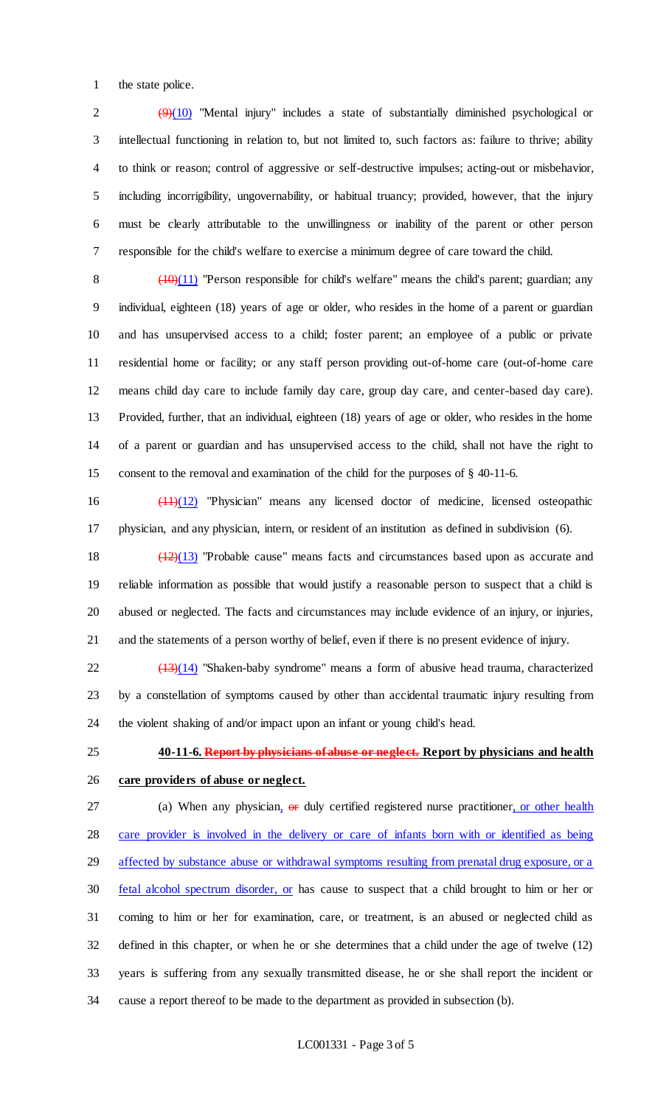the state police.

 $(9)(10)$  "Mental injury" includes a state of substantially diminished psychological or intellectual functioning in relation to, but not limited to, such factors as: failure to thrive; ability to think or reason; control of aggressive or self-destructive impulses; acting-out or misbehavior, including incorrigibility, ungovernability, or habitual truancy; provided, however, that the injury must be clearly attributable to the unwillingness or inability of the parent or other person responsible for the child's welfare to exercise a minimum degree of care toward the child.

 $\left(\frac{(10)(11)}{2}\right)$  "Person responsible for child's welfare" means the child's parent; guardian; any individual, eighteen (18) years of age or older, who resides in the home of a parent or guardian and has unsupervised access to a child; foster parent; an employee of a public or private residential home or facility; or any staff person providing out-of-home care (out-of-home care means child day care to include family day care, group day care, and center-based day care). Provided, further, that an individual, eighteen (18) years of age or older, who resides in the home of a parent or guardian and has unsupervised access to the child, shall not have the right to consent to the removal and examination of the child for the purposes of § 40-11-6.

 (11)(12) "Physician" means any licensed doctor of medicine, licensed osteopathic physician, and any physician, intern, or resident of an institution as defined in subdivision (6).

 (12)(13) "Probable cause" means facts and circumstances based upon as accurate and reliable information as possible that would justify a reasonable person to suspect that a child is abused or neglected. The facts and circumstances may include evidence of an injury, or injuries, and the statements of a person worthy of belief, even if there is no present evidence of injury.

 $\frac{(13)(14)}{22}$  "Shaken-baby syndrome" means a form of abusive head trauma, characterized by a constellation of symptoms caused by other than accidental traumatic injury resulting from the violent shaking of and/or impact upon an infant or young child's head.

# **40-11-6. Report by physicians of abuse or neglect. Report by physicians and health**

## **care providers of abuse or neglect.**

27 (a) When any physician, or duly certified registered nurse practitioner, or other health care provider is involved in the delivery or care of infants born with or identified as being affected by substance abuse or withdrawal symptoms resulting from prenatal drug exposure, or a fetal alcohol spectrum disorder, or has cause to suspect that a child brought to him or her or coming to him or her for examination, care, or treatment, is an abused or neglected child as defined in this chapter, or when he or she determines that a child under the age of twelve (12) years is suffering from any sexually transmitted disease, he or she shall report the incident or cause a report thereof to be made to the department as provided in subsection (b).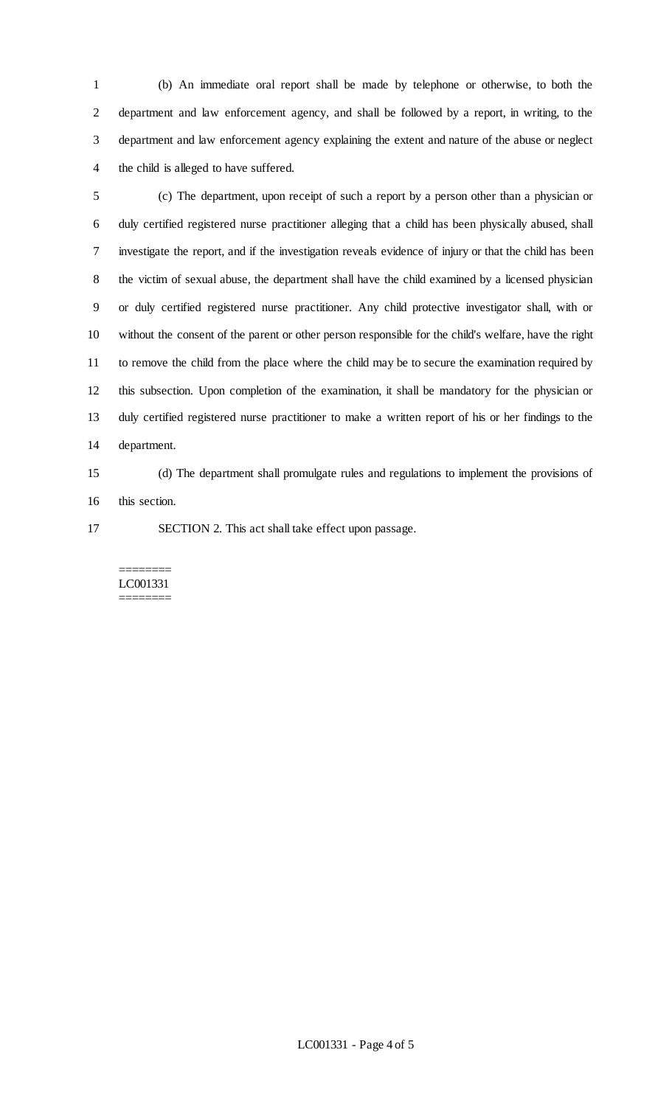(b) An immediate oral report shall be made by telephone or otherwise, to both the department and law enforcement agency, and shall be followed by a report, in writing, to the department and law enforcement agency explaining the extent and nature of the abuse or neglect the child is alleged to have suffered.

 (c) The department, upon receipt of such a report by a person other than a physician or duly certified registered nurse practitioner alleging that a child has been physically abused, shall investigate the report, and if the investigation reveals evidence of injury or that the child has been the victim of sexual abuse, the department shall have the child examined by a licensed physician or duly certified registered nurse practitioner. Any child protective investigator shall, with or without the consent of the parent or other person responsible for the child's welfare, have the right to remove the child from the place where the child may be to secure the examination required by this subsection. Upon completion of the examination, it shall be mandatory for the physician or duly certified registered nurse practitioner to make a written report of his or her findings to the department.

 (d) The department shall promulgate rules and regulations to implement the provisions of this section.

SECTION 2. This act shall take effect upon passage.

#### ======== LC001331 ========